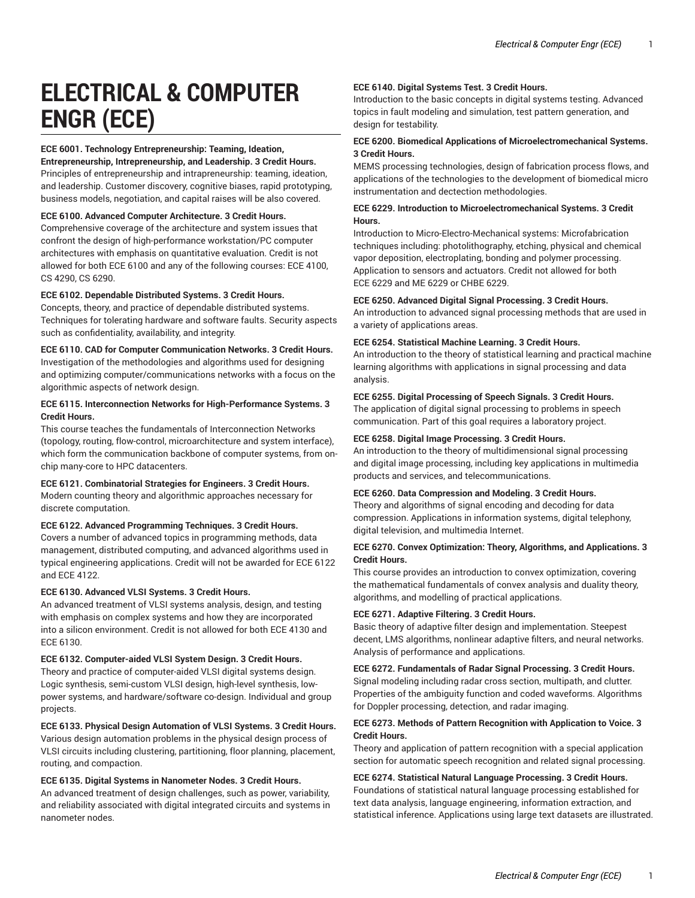# **ELECTRICAL & COMPUTER ENGR (ECE)**

# **ECE 6001. Technology Entrepreneurship: Teaming, Ideation,**

**Entrepreneurship, Intrepreneurship, and Leadership. 3 Credit Hours.** Principles of entrepreneurship and intrapreneurship: teaming, ideation, and leadership. Customer discovery, cognitive biases, rapid prototyping, business models, negotiation, and capital raises will be also covered.

# **ECE 6100. Advanced Computer Architecture. 3 Credit Hours.**

Comprehensive coverage of the architecture and system issues that confront the design of high-performance workstation/PC computer architectures with emphasis on quantitative evaluation. Credit is not allowed for both ECE 6100 and any of the following courses: ECE 4100, CS 4290, CS 6290.

# **ECE 6102. Dependable Distributed Systems. 3 Credit Hours.**

Concepts, theory, and practice of dependable distributed systems. Techniques for tolerating hardware and software faults. Security aspects such as confidentiality, availability, and integrity.

# **ECE 6110. CAD for Computer Communication Networks. 3 Credit Hours.**

Investigation of the methodologies and algorithms used for designing and optimizing computer/communications networks with a focus on the algorithmic aspects of network design.

# **ECE 6115. Interconnection Networks for High-Performance Systems. 3 Credit Hours.**

This course teaches the fundamentals of Interconnection Networks (topology, routing, flow-control, microarchitecture and system interface), which form the communication backbone of computer systems, from onchip many-core to HPC datacenters.

## **ECE 6121. Combinatorial Strategies for Engineers. 3 Credit Hours.**

Modern counting theory and algorithmic approaches necessary for discrete computation.

# **ECE 6122. Advanced Programming Techniques. 3 Credit Hours.**

Covers a number of advanced topics in programming methods, data management, distributed computing, and advanced algorithms used in typical engineering applications. Credit will not be awarded for ECE 6122 and ECE 4122.

## **ECE 6130. Advanced VLSI Systems. 3 Credit Hours.**

An advanced treatment of VLSI systems analysis, design, and testing with emphasis on complex systems and how they are incorporated into a silicon environment. Credit is not allowed for both ECE 4130 and ECE 6130.

# **ECE 6132. Computer-aided VLSI System Design. 3 Credit Hours.**

Theory and practice of computer-aided VLSI digital systems design. Logic synthesis, semi-custom VLSI design, high-level synthesis, lowpower systems, and hardware/software co-design. Individual and group projects.

# **ECE 6133. Physical Design Automation of VLSI Systems. 3 Credit Hours.**

Various design automation problems in the physical design process of VLSI circuits including clustering, partitioning, floor planning, placement, routing, and compaction.

## **ECE 6135. Digital Systems in Nanometer Nodes. 3 Credit Hours.**

An advanced treatment of design challenges, such as power, variability, and reliability associated with digital integrated circuits and systems in nanometer nodes.

# **ECE 6140. Digital Systems Test. 3 Credit Hours.**

Introduction to the basic concepts in digital systems testing. Advanced topics in fault modeling and simulation, test pattern generation, and design for testability.

# **ECE 6200. Biomedical Applications of Microelectromechanical Systems. 3 Credit Hours.**

MEMS processing technologies, design of fabrication process flows, and applications of the technologies to the development of biomedical micro instrumentation and dectection methodologies.

# **ECE 6229. Introduction to Microelectromechanical Systems. 3 Credit Hours.**

Introduction to Micro-Electro-Mechanical systems: Microfabrication techniques including: photolithography, etching, physical and chemical vapor deposition, electroplating, bonding and polymer processing. Application to sensors and actuators. Credit not allowed for both ECE 6229 and ME 6229 or CHBE 6229.

# **ECE 6250. Advanced Digital Signal Processing. 3 Credit Hours.**

An introduction to advanced signal processing methods that are used in a variety of applications areas.

# **ECE 6254. Statistical Machine Learning. 3 Credit Hours.**

An introduction to the theory of statistical learning and practical machine learning algorithms with applications in signal processing and data analysis.

# **ECE 6255. Digital Processing of Speech Signals. 3 Credit Hours.**

The application of digital signal processing to problems in speech communication. Part of this goal requires a laboratory project.

## **ECE 6258. Digital Image Processing. 3 Credit Hours.**

An introduction to the theory of multidimensional signal processing and digital image processing, including key applications in multimedia products and services, and telecommunications.

# **ECE 6260. Data Compression and Modeling. 3 Credit Hours.**

Theory and algorithms of signal encoding and decoding for data compression. Applications in information systems, digital telephony, digital television, and multimedia Internet.

# **ECE 6270. Convex Optimization: Theory, Algorithms, and Applications. 3 Credit Hours.**

This course provides an introduction to convex optimization, covering the mathematical fundamentals of convex analysis and duality theory, algorithms, and modelling of practical applications.

## **ECE 6271. Adaptive Filtering. 3 Credit Hours.**

Basic theory of adaptive filter design and implementation. Steepest decent, LMS algorithms, nonlinear adaptive filters, and neural networks. Analysis of performance and applications.

# **ECE 6272. Fundamentals of Radar Signal Processing. 3 Credit Hours.** Signal modeling including radar cross section, multipath, and clutter. Properties of the ambiguity function and coded waveforms. Algorithms for Doppler processing, detection, and radar imaging.

# **ECE 6273. Methods of Pattern Recognition with Application to Voice. 3 Credit Hours.**

Theory and application of pattern recognition with a special application section for automatic speech recognition and related signal processing.

## **ECE 6274. Statistical Natural Language Processing. 3 Credit Hours.**

Foundations of statistical natural language processing established for text data analysis, language engineering, information extraction, and statistical inference. Applications using large text datasets are illustrated.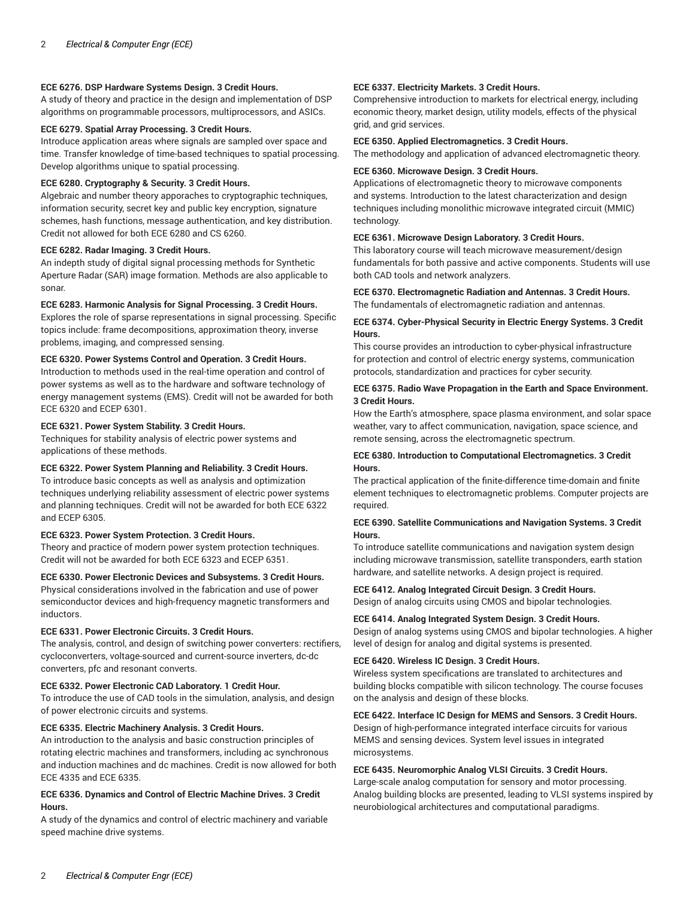# **ECE 6276. DSP Hardware Systems Design. 3 Credit Hours.**

A study of theory and practice in the design and implementation of DSP algorithms on programmable processors, multiprocessors, and ASICs.

# **ECE 6279. Spatial Array Processing. 3 Credit Hours.**

Introduce application areas where signals are sampled over space and time. Transfer knowledge of time-based techniques to spatial processing. Develop algorithms unique to spatial processing.

# **ECE 6280. Cryptography & Security. 3 Credit Hours.**

Algebraic and number theory apporaches to cryptographic techniques, information security, secret key and public key encryption, signature schemes, hash functions, message authentication, and key distribution. Credit not allowed for both ECE 6280 and CS 6260.

#### **ECE 6282. Radar Imaging. 3 Credit Hours.**

An indepth study of digital signal processing methods for Synthetic Aperture Radar (SAR) image formation. Methods are also applicable to sonar.

#### **ECE 6283. Harmonic Analysis for Signal Processing. 3 Credit Hours.**

Explores the role of sparse representations in signal processing. Specific topics include: frame decompositions, approximation theory, inverse problems, imaging, and compressed sensing.

## **ECE 6320. Power Systems Control and Operation. 3 Credit Hours.**

Introduction to methods used in the real-time operation and control of power systems as well as to the hardware and software technology of energy management systems (EMS). Credit will not be awarded for both ECE 6320 and ECEP 6301.

#### **ECE 6321. Power System Stability. 3 Credit Hours.**

Techniques for stability analysis of electric power systems and applications of these methods.

# **ECE 6322. Power System Planning and Reliability. 3 Credit Hours.**

To introduce basic concepts as well as analysis and optimization techniques underlying reliability assessment of electric power systems and planning techniques. Credit will not be awarded for both ECE 6322 and ECEP 6305.

#### **ECE 6323. Power System Protection. 3 Credit Hours.**

Theory and practice of modern power system protection techniques. Credit will not be awarded for both ECE 6323 and ECEP 6351.

#### **ECE 6330. Power Electronic Devices and Subsystems. 3 Credit Hours.**

Physical considerations involved in the fabrication and use of power semiconductor devices and high-frequency magnetic transformers and inductors.

#### **ECE 6331. Power Electronic Circuits. 3 Credit Hours.**

The analysis, control, and design of switching power converters: rectifiers, cycloconverters, voltage-sourced and current-source inverters, dc-dc converters, pfc and resonant converts.

## **ECE 6332. Power Electronic CAD Laboratory. 1 Credit Hour.**

To introduce the use of CAD tools in the simulation, analysis, and design of power electronic circuits and systems.

# **ECE 6335. Electric Machinery Analysis. 3 Credit Hours.**

An introduction to the analysis and basic construction principles of rotating electric machines and transformers, including ac synchronous and induction machines and dc machines. Credit is now allowed for both ECE 4335 and ECE 6335.

# **ECE 6336. Dynamics and Control of Electric Machine Drives. 3 Credit Hours.**

A study of the dynamics and control of electric machinery and variable speed machine drive systems.

## **ECE 6337. Electricity Markets. 3 Credit Hours.**

Comprehensive introduction to markets for electrical energy, including economic theory, market design, utility models, effects of the physical grid, and grid services.

#### **ECE 6350. Applied Electromagnetics. 3 Credit Hours.**

The methodology and application of advanced electromagnetic theory.

#### **ECE 6360. Microwave Design. 3 Credit Hours.**

Applications of electromagnetic theory to microwave components and systems. Introduction to the latest characterization and design techniques including monolithic microwave integrated circuit (MMIC) technology.

#### **ECE 6361. Microwave Design Laboratory. 3 Credit Hours.**

This laboratory course will teach microwave measurement/design fundamentals for both passive and active components. Students will use both CAD tools and network analyzers.

#### **ECE 6370. Electromagnetic Radiation and Antennas. 3 Credit Hours.** The fundamentals of electromagnetic radiation and antennas.

#### **ECE 6374. Cyber-Physical Security in Electric Energy Systems. 3 Credit Hours.**

This course provides an introduction to cyber-physical infrastructure for protection and control of electric energy systems, communication protocols, standardization and practices for cyber security.

#### **ECE 6375. Radio Wave Propagation in the Earth and Space Environment. 3 Credit Hours.**

How the Earth's atmosphere, space plasma environment, and solar space weather, vary to affect communication, navigation, space science, and remote sensing, across the electromagnetic spectrum.

# **ECE 6380. Introduction to Computational Electromagnetics. 3 Credit Hours.**

The practical application of the finite-difference time-domain and finite element techniques to electromagnetic problems. Computer projects are required.

# **ECE 6390. Satellite Communications and Navigation Systems. 3 Credit Hours.**

To introduce satellite communications and navigation system design including microwave transmission, satellite transponders, earth station hardware, and satellite networks. A design project is required.

## **ECE 6412. Analog Integrated Circuit Design. 3 Credit Hours.**

Design of analog circuits using CMOS and bipolar technologies.

#### **ECE 6414. Analog Integrated System Design. 3 Credit Hours.**

Design of analog systems using CMOS and bipolar technologies. A higher level of design for analog and digital systems is presented.

#### **ECE 6420. Wireless IC Design. 3 Credit Hours.**

Wireless system specifications are translated to architectures and building blocks compatible with silicon technology. The course focuses on the analysis and design of these blocks.

#### **ECE 6422. Interface IC Design for MEMS and Sensors. 3 Credit Hours.**

Design of high-performance integrated interface circuits for various MEMS and sensing devices. System level issues in integrated microsystems.

#### **ECE 6435. Neuromorphic Analog VLSI Circuits. 3 Credit Hours.**

Large-scale analog computation for sensory and motor processing. Analog building blocks are presented, leading to VLSI systems inspired by neurobiological architectures and computational paradigms.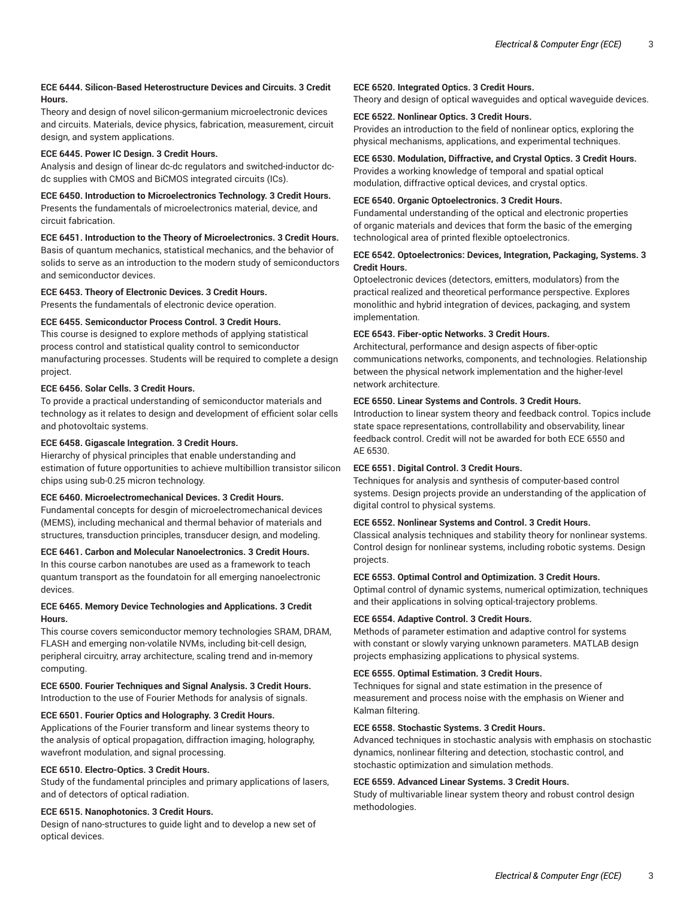# **ECE 6444. Silicon-Based Heterostructure Devices and Circuits. 3 Credit Hours.**

Theory and design of novel silicon-germanium microelectronic devices and circuits. Materials, device physics, fabrication, measurement, circuit design, and system applications.

# **ECE 6445. Power IC Design. 3 Credit Hours.**

Analysis and design of linear dc-dc regulators and switched-inductor dcdc supplies with CMOS and BiCMOS integrated circuits (ICs).

# **ECE 6450. Introduction to Microelectronics Technology. 3 Credit Hours.**

Presents the fundamentals of microelectronics material, device, and circuit fabrication.

# **ECE 6451. Introduction to the Theory of Microelectronics. 3 Credit Hours.**

Basis of quantum mechanics, statistical mechanics, and the behavior of solids to serve as an introduction to the modern study of semiconductors and semiconductor devices.

# **ECE 6453. Theory of Electronic Devices. 3 Credit Hours.**

Presents the fundamentals of electronic device operation.

# **ECE 6455. Semiconductor Process Control. 3 Credit Hours.**

This course is designed to explore methods of applying statistical process control and statistical quality control to semiconductor manufacturing processes. Students will be required to complete a design project.

# **ECE 6456. Solar Cells. 3 Credit Hours.**

To provide a practical understanding of semiconductor materials and technology as it relates to design and development of efficient solar cells and photovoltaic systems.

# **ECE 6458. Gigascale Integration. 3 Credit Hours.**

Hierarchy of physical principles that enable understanding and estimation of future opportunities to achieve multibillion transistor silicon chips using sub-0.25 micron technology.

# **ECE 6460. Microelectromechanical Devices. 3 Credit Hours.**

Fundamental concepts for desgin of microelectromechanical devices (MEMS), including mechanical and thermal behavior of materials and structures, transduction principles, transducer design, and modeling.

# **ECE 6461. Carbon and Molecular Nanoelectronics. 3 Credit Hours.**

In this course carbon nanotubes are used as a framework to teach quantum transport as the foundatoin for all emerging nanoelectronic devices.

# **ECE 6465. Memory Device Technologies and Applications. 3 Credit Hours.**

This course covers semiconductor memory technologies SRAM, DRAM, FLASH and emerging non-volatile NVMs, including bit-cell design, peripheral circuitry, array architecture, scaling trend and in-memory computing.

## **ECE 6500. Fourier Techniques and Signal Analysis. 3 Credit Hours.** Introduction to the use of Fourier Methods for analysis of signals.

# **ECE 6501. Fourier Optics and Holography. 3 Credit Hours.**

Applications of the Fourier transform and linear systems theory to the analysis of optical propagation, diffraction imaging, holography, wavefront modulation, and signal processing.

# **ECE 6510. Electro-Optics. 3 Credit Hours.**

Study of the fundamental principles and primary applications of lasers, and of detectors of optical radiation.

# **ECE 6515. Nanophotonics. 3 Credit Hours.**

Design of nano-structures to guide light and to develop a new set of optical devices.

# **ECE 6520. Integrated Optics. 3 Credit Hours.**

Theory and design of optical waveguides and optical waveguide devices.

# **ECE 6522. Nonlinear Optics. 3 Credit Hours.**

Provides an introduction to the field of nonlinear optics, exploring the physical mechanisms, applications, and experimental techniques.

# **ECE 6530. Modulation, Diffractive, and Crystal Optics. 3 Credit Hours.**

Provides a working knowledge of temporal and spatial optical modulation, diffractive optical devices, and crystal optics.

# **ECE 6540. Organic Optoelectronics. 3 Credit Hours.**

Fundamental understanding of the optical and electronic properties of organic materials and devices that form the basic of the emerging technological area of printed flexible optoelectronics.

# **ECE 6542. Optoelectronics: Devices, Integration, Packaging, Systems. 3 Credit Hours.**

Optoelectronic devices (detectors, emitters, modulators) from the practical realized and theoretical performance perspective. Explores monolithic and hybrid integration of devices, packaging, and system implementation.

# **ECE 6543. Fiber-optic Networks. 3 Credit Hours.**

Architectural, performance and design aspects of fiber-optic communications networks, components, and technologies. Relationship between the physical network implementation and the higher-level network architecture.

# **ECE 6550. Linear Systems and Controls. 3 Credit Hours.**

Introduction to linear system theory and feedback control. Topics include state space representations, controllability and observability, linear feedback control. Credit will not be awarded for both ECE 6550 and AE 6530.

# **ECE 6551. Digital Control. 3 Credit Hours.**

Techniques for analysis and synthesis of computer-based control systems. Design projects provide an understanding of the application of digital control to physical systems.

# **ECE 6552. Nonlinear Systems and Control. 3 Credit Hours.**

Classical analysis techniques and stability theory for nonlinear systems. Control design for nonlinear systems, including robotic systems. Design projects.

## **ECE 6553. Optimal Control and Optimization. 3 Credit Hours.**

Optimal control of dynamic systems, numerical optimization, techniques and their applications in solving optical-trajectory problems.

## **ECE 6554. Adaptive Control. 3 Credit Hours.**

Methods of parameter estimation and adaptive control for systems with constant or slowly varying unknown parameters. MATLAB design projects emphasizing applications to physical systems.

# **ECE 6555. Optimal Estimation. 3 Credit Hours.**

Techniques for signal and state estimation in the presence of measurement and process noise with the emphasis on Wiener and Kalman filtering.

## **ECE 6558. Stochastic Systems. 3 Credit Hours.**

Advanced techniques in stochastic analysis with emphasis on stochastic dynamics, nonlinear filtering and detection, stochastic control, and stochastic optimization and simulation methods.

## **ECE 6559. Advanced Linear Systems. 3 Credit Hours.**

Study of multivariable linear system theory and robust control design methodologies.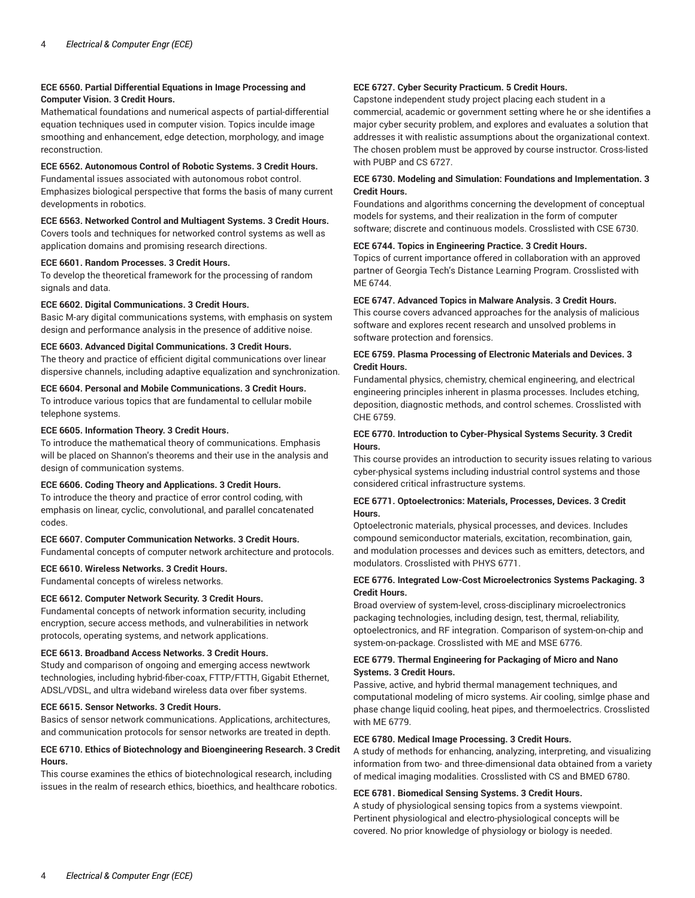## **ECE 6560. Partial Differential Equations in Image Processing and Computer Vision. 3 Credit Hours.**

Mathematical foundations and numerical aspects of partial-differential equation techniques used in computer vision. Topics inculde image smoothing and enhancement, edge detection, morphology, and image reconstruction.

# **ECE 6562. Autonomous Control of Robotic Systems. 3 Credit Hours.**

Fundamental issues associated with autonomous robot control. Emphasizes biological perspective that forms the basis of many current developments in robotics.

## **ECE 6563. Networked Control and Multiagent Systems. 3 Credit Hours.**

Covers tools and techniques for networked control systems as well as application domains and promising research directions.

## **ECE 6601. Random Processes. 3 Credit Hours.**

To develop the theoretical framework for the processing of random signals and data.

## **ECE 6602. Digital Communications. 3 Credit Hours.**

Basic M-ary digital communications systems, with emphasis on system design and performance analysis in the presence of additive noise.

## **ECE 6603. Advanced Digital Communications. 3 Credit Hours.**

The theory and practice of efficient digital communications over linear dispersive channels, including adaptive equalization and synchronization.

#### **ECE 6604. Personal and Mobile Communications. 3 Credit Hours.**

To introduce various topics that are fundamental to cellular mobile telephone systems.

#### **ECE 6605. Information Theory. 3 Credit Hours.**

To introduce the mathematical theory of communications. Emphasis will be placed on Shannon's theorems and their use in the analysis and design of communication systems.

# **ECE 6606. Coding Theory and Applications. 3 Credit Hours.**

To introduce the theory and practice of error control coding, with emphasis on linear, cyclic, convolutional, and parallel concatenated codes.

#### **ECE 6607. Computer Communication Networks. 3 Credit Hours.**

Fundamental concepts of computer network architecture and protocols.

#### **ECE 6610. Wireless Networks. 3 Credit Hours.**

Fundamental concepts of wireless networks.

#### **ECE 6612. Computer Network Security. 3 Credit Hours.**

Fundamental concepts of network information security, including encryption, secure access methods, and vulnerabilities in network protocols, operating systems, and network applications.

#### **ECE 6613. Broadband Access Networks. 3 Credit Hours.**

Study and comparison of ongoing and emerging access newtwork technologies, including hybrid-fiber-coax, FTTP/FTTH, Gigabit Ethernet, ADSL/VDSL, and ultra wideband wireless data over fiber systems.

#### **ECE 6615. Sensor Networks. 3 Credit Hours.**

Basics of sensor network communications. Applications, architectures, and communication protocols for sensor networks are treated in depth.

# **ECE 6710. Ethics of Biotechnology and Bioengineering Research. 3 Credit Hours.**

This course examines the ethics of biotechnological research, including issues in the realm of research ethics, bioethics, and healthcare robotics.

# **ECE 6727. Cyber Security Practicum. 5 Credit Hours.**

Capstone independent study project placing each student in a commercial, academic or government setting where he or she identifies a major cyber security problem, and explores and evaluates a solution that addresses it with realistic assumptions about the organizational context. The chosen problem must be approved by course instructor. Cross-listed with PUBP and CS 6727.

# **ECE 6730. Modeling and Simulation: Foundations and Implementation. 3 Credit Hours.**

Foundations and algorithms concerning the development of conceptual models for systems, and their realization in the form of computer software; discrete and continuous models. Crosslisted with CSE 6730.

#### **ECE 6744. Topics in Engineering Practice. 3 Credit Hours.**

Topics of current importance offered in collaboration with an approved partner of Georgia Tech's Distance Learning Program. Crosslisted with ME 6744.

### **ECE 6747. Advanced Topics in Malware Analysis. 3 Credit Hours.**

This course covers advanced approaches for the analysis of malicious software and explores recent research and unsolved problems in software protection and forensics.

### **ECE 6759. Plasma Processing of Electronic Materials and Devices. 3 Credit Hours.**

Fundamental physics, chemistry, chemical engineering, and electrical engineering principles inherent in plasma processes. Includes etching, deposition, diagnostic methods, and control schemes. Crosslisted with CHE 6759.

# **ECE 6770. Introduction to Cyber-Physical Systems Security. 3 Credit Hours.**

This course provides an introduction to security issues relating to various cyber-physical systems including industrial control systems and those considered critical infrastructure systems.

## **ECE 6771. Optoelectronics: Materials, Processes, Devices. 3 Credit Hours.**

Optoelectronic materials, physical processes, and devices. Includes compound semiconductor materials, excitation, recombination, gain, and modulation processes and devices such as emitters, detectors, and modulators. Crosslisted with PHYS 6771.

# **ECE 6776. Integrated Low-Cost Microelectronics Systems Packaging. 3 Credit Hours.**

Broad overview of system-level, cross-disciplinary microelectronics packaging technologies, including design, test, thermal, reliability, optoelectronics, and RF integration. Comparison of system-on-chip and system-on-package. Crosslisted with ME and MSE 6776.

## **ECE 6779. Thermal Engineering for Packaging of Micro and Nano Systems. 3 Credit Hours.**

Passive, active, and hybrid thermal management techniques, and computational modeling of micro systems. Air cooling, simlge phase and phase change liquid cooling, heat pipes, and thermoelectrics. Crosslisted with ME 6779.

#### **ECE 6780. Medical Image Processing. 3 Credit Hours.**

A study of methods for enhancing, analyzing, interpreting, and visualizing information from two- and three-dimensional data obtained from a variety of medical imaging modalities. Crosslisted with CS and BMED 6780.

## **ECE 6781. Biomedical Sensing Systems. 3 Credit Hours.**

A study of physiological sensing topics from a systems viewpoint. Pertinent physiological and electro-physiological concepts will be covered. No prior knowledge of physiology or biology is needed.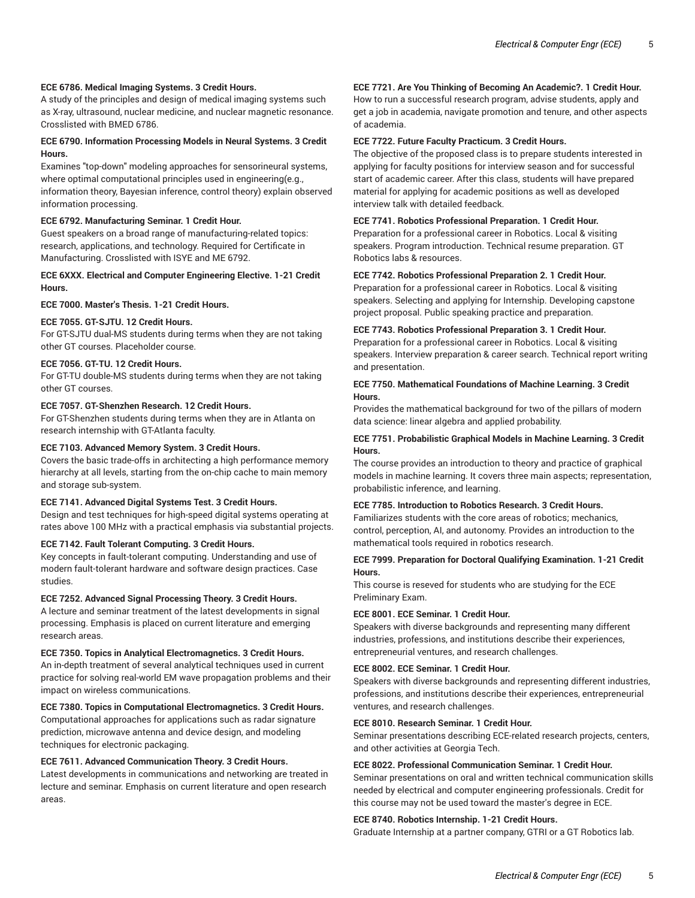### **ECE 6786. Medical Imaging Systems. 3 Credit Hours.**

A study of the principles and design of medical imaging systems such as X-ray, ultrasound, nuclear medicine, and nuclear magnetic resonance. Crosslisted with BMED 6786.

## **ECE 6790. Information Processing Models in Neural Systems. 3 Credit Hours.**

Examines "top-down" modeling approaches for sensorineural systems, where optimal computational principles used in engineering(e.g., information theory, Bayesian inference, control theory) explain observed information processing.

#### **ECE 6792. Manufacturing Seminar. 1 Credit Hour.**

Guest speakers on a broad range of manufacturing-related topics: research, applications, and technology. Required for Certificate in Manufacturing. Crosslisted with ISYE and ME 6792.

## **ECE 6XXX. Electrical and Computer Engineering Elective. 1-21 Credit Hours.**

#### **ECE 7000. Master's Thesis. 1-21 Credit Hours.**

# **ECE 7055. GT-SJTU. 12 Credit Hours.**

For GT-SJTU dual-MS students during terms when they are not taking other GT courses. Placeholder course.

# **ECE 7056. GT-TU. 12 Credit Hours.**

For GT-TU double-MS students during terms when they are not taking other GT courses.

#### **ECE 7057. GT-Shenzhen Research. 12 Credit Hours.**

For GT-Shenzhen students during terms when they are in Atlanta on research internship with GT-Atlanta faculty.

# **ECE 7103. Advanced Memory System. 3 Credit Hours.**

Covers the basic trade-offs in architecting a high performance memory hierarchy at all levels, starting from the on-chip cache to main memory and storage sub-system.

#### **ECE 7141. Advanced Digital Systems Test. 3 Credit Hours.**

Design and test techniques for high-speed digital systems operating at rates above 100 MHz with a practical emphasis via substantial projects.

## **ECE 7142. Fault Tolerant Computing. 3 Credit Hours.**

Key concepts in fault-tolerant computing. Understanding and use of modern fault-tolerant hardware and software design practices. Case studies.

## **ECE 7252. Advanced Signal Processing Theory. 3 Credit Hours.**

A lecture and seminar treatment of the latest developments in signal processing. Emphasis is placed on current literature and emerging research areas.

#### **ECE 7350. Topics in Analytical Electromagnetics. 3 Credit Hours.**

An in-depth treatment of several analytical techniques used in current practice for solving real-world EM wave propagation problems and their impact on wireless communications.

## **ECE 7380. Topics in Computational Electromagnetics. 3 Credit Hours.**

Computational approaches for applications such as radar signature prediction, microwave antenna and device design, and modeling techniques for electronic packaging.

#### **ECE 7611. Advanced Communication Theory. 3 Credit Hours.**

Latest developments in communications and networking are treated in lecture and seminar. Emphasis on current literature and open research areas.

# **ECE 7721. Are You Thinking of Becoming An Academic?. 1 Credit Hour.**

How to run a successful research program, advise students, apply and get a job in academia, navigate promotion and tenure, and other aspects of academia.

## **ECE 7722. Future Faculty Practicum. 3 Credit Hours.**

The objective of the proposed class is to prepare students interested in applying for faculty positions for interview season and for successful start of academic career. After this class, students will have prepared material for applying for academic positions as well as developed interview talk with detailed feedback.

#### **ECE 7741. Robotics Professional Preparation. 1 Credit Hour.**

Preparation for a professional career in Robotics. Local & visiting speakers. Program introduction. Technical resume preparation. GT Robotics labs & resources.

# **ECE 7742. Robotics Professional Preparation 2. 1 Credit Hour.**

Preparation for a professional career in Robotics. Local & visiting speakers. Selecting and applying for Internship. Developing capstone project proposal. Public speaking practice and preparation.

# **ECE 7743. Robotics Professional Preparation 3. 1 Credit Hour.**

Preparation for a professional career in Robotics. Local & visiting speakers. Interview preparation & career search. Technical report writing and presentation.

# **ECE 7750. Mathematical Foundations of Machine Learning. 3 Credit Hours.**

Provides the mathematical background for two of the pillars of modern data science: linear algebra and applied probability.

## **ECE 7751. Probabilistic Graphical Models in Machine Learning. 3 Credit Hours.**

The course provides an introduction to theory and practice of graphical models in machine learning. It covers three main aspects; representation, probabilistic inference, and learning.

# **ECE 7785. Introduction to Robotics Research. 3 Credit Hours.**

Familiarizes students with the core areas of robotics; mechanics, control, perception, AI, and autonomy. Provides an introduction to the mathematical tools required in robotics research.

# **ECE 7999. Preparation for Doctoral Qualifying Examination. 1-21 Credit Hours.**

This course is reseved for students who are studying for the ECE Preliminary Exam.

#### **ECE 8001. ECE Seminar. 1 Credit Hour.**

Speakers with diverse backgrounds and representing many different industries, professions, and institutions describe their experiences, entrepreneurial ventures, and research challenges.

# **ECE 8002. ECE Seminar. 1 Credit Hour.**

Speakers with diverse backgrounds and representing different industries, professions, and institutions describe their experiences, entrepreneurial ventures, and research challenges.

## **ECE 8010. Research Seminar. 1 Credit Hour.**

Seminar presentations describing ECE-related research projects, centers, and other activities at Georgia Tech.

#### **ECE 8022. Professional Communication Seminar. 1 Credit Hour.**

Seminar presentations on oral and written technical communication skills needed by electrical and computer engineering professionals. Credit for this course may not be used toward the master's degree in ECE.

## **ECE 8740. Robotics Internship. 1-21 Credit Hours.**

Graduate Internship at a partner company, GTRI or a GT Robotics lab.